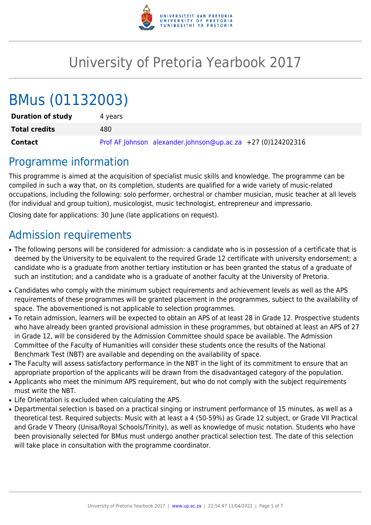

# University of Pretoria Yearbook 2017

# BMus (01132003)

| <b>Duration of study</b> | 4 vears                                                     |
|--------------------------|-------------------------------------------------------------|
| <b>Total credits</b>     | 480                                                         |
| Contact                  | Prof AF Johnson alexander.johnson@up.ac.za +27 (0)124202316 |

# Programme information

This programme is aimed at the acquisition of specialist music skills and knowledge. The programme can be compiled in such a way that, on its completion, students are qualified for a wide variety of music-related occupations, including the following: solo performer, orchestral or chamber musician, music teacher at all levels (for individual and group tuition), musicologist, music technologist, entrepreneur and impressario.

Closing date for applications: 30 June (late applications on request).

# Admission requirements

- The following persons will be considered for admission: a candidate who is in possession of a certificate that is deemed by the University to be equivalent to the required Grade 12 certificate with university endorsement; a candidate who is a graduate from another tertiary institution or has been granted the status of a graduate of such an institution; and a candidate who is a graduate of another faculty at the University of Pretoria.
- Candidates who comply with the minimum subject requirements and achievement levels as well as the APS requirements of these programmes will be granted placement in the programmes, subject to the availability of space. The abovementioned is not applicable to selection programmes.
- To retain admission, learners will be expected to obtain an APS of at least 28 in Grade 12. Prospective students who have already been granted provisional admission in these programmes, but obtained at least an APS of 27 in Grade 12, will be considered by the Admission Committee should space be available. The Admission Committee of the Faculty of Humanities will consider these students once the results of the National Benchmark Test (NBT) are available and depending on the availability of space.
- The Faculty will assess satisfactory performance in the NBT in the light of its commitment to ensure that an appropriate proportion of the applicants will be drawn from the disadvantaged category of the population.
- Applicants who meet the minimum APS requirement, but who do not comply with the subject requirements must write the NBT.
- Life Orientation is excluded when calculating the APS.
- Departmental selection is based on a practical singing or instrument performance of 15 minutes, as well as a theoretical test. Required subjects: Music with at least a 4 (50-59%) as Grade 12 subject, or Grade VII Practical and Grade V Theory (Unisa/Royal Schools/Trinity), as well as knowledge of music notation. Students who have been provisionally selected for BMus must undergo another practical selection test. The date of this selection will take place in consultation with the programme coordinator.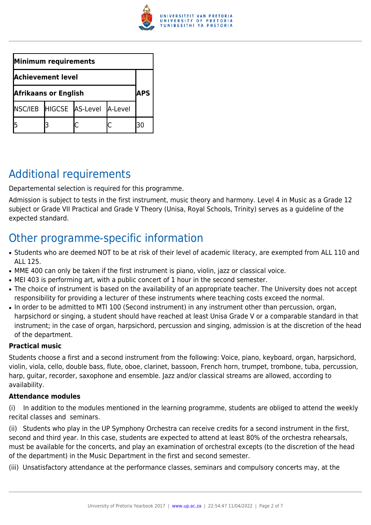

| Minimum requirements        |  |                                 |  |    |  |
|-----------------------------|--|---------------------------------|--|----|--|
| <b>Achievement level</b>    |  |                                 |  |    |  |
| <b>Afrikaans or English</b> |  |                                 |  |    |  |
|                             |  | NSC/IEB HIGCSE AS-Level A-Level |  |    |  |
|                             |  |                                 |  | 30 |  |

# Additional requirements

Departemental selection is required for this programme.

Admission is subject to tests in the first instrument, music theory and harmony. Level 4 in Music as a Grade 12 subject or Grade VII Practical and Grade V Theory (Unisa, Royal Schools, Trinity) serves as a guideline of the expected standard.

# Other programme-specific information

- Students who are deemed NOT to be at risk of their level of academic literacy, are exempted from ALL 110 and ALL 125.
- MME 400 can only be taken if the first instrument is piano, violin, jazz or classical voice.
- MEI 403 is performing art, with a public concert of 1 hour in the second semester.
- The choice of instrument is based on the availability of an appropriate teacher. The University does not accept responsibility for providing a lecturer of these instruments where teaching costs exceed the normal.
- In order to be admitted to MTI 100 (Second instrument) in any instrument other than percussion, organ, harpsichord or singing, a student should have reached at least Unisa Grade V or a comparable standard in that instrument; in the case of organ, harpsichord, percussion and singing, admission is at the discretion of the head of the department.

#### **Practical music**

Students choose a first and a second instrument from the following: Voice, piano, keyboard, organ, harpsichord, violin, viola, cello, double bass, flute, oboe, clarinet, bassoon, French horn, trumpet, trombone, tuba, percussion, harp, guitar, recorder, saxophone and ensemble. Jazz and/or classical streams are allowed, according to availability.

#### **Attendance modules**

(i) In addition to the modules mentioned in the learning programme, students are obliged to attend the weekly recital classes and seminars.

(ii) Students who play in the UP Symphony Orchestra can receive credits for a second instrument in the first, second and third year. In this case, students are expected to attend at least 80% of the orchestra rehearsals, must be available for the concerts, and play an examination of orchestral excepts (to the discretion of the head of the department) in the Music Department in the first and second semester.

(iii) Unsatisfactory attendance at the performance classes, seminars and compulsory concerts may, at the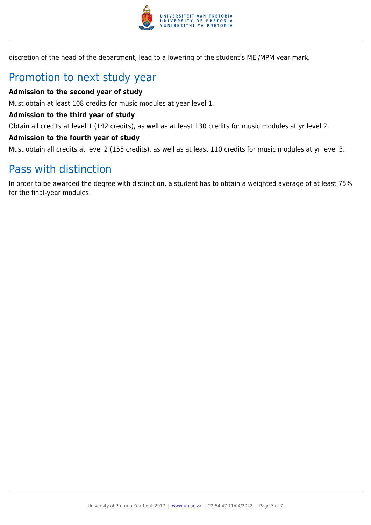

discretion of the head of the department, lead to a lowering of the student's MEI/MPM year mark.

# Promotion to next study year

#### **Admission to the second year of study**

Must obtain at least 108 credits for music modules at year level 1.

#### **Admission to the third year of study**

Obtain all credits at level 1 (142 credits), as well as at least 130 credits for music modules at yr level 2.

#### **Admission to the fourth year of study**

Must obtain all credits at level 2 (155 credits), as well as at least 110 credits for music modules at yr level 3.

### Pass with distinction

In order to be awarded the degree with distinction, a student has to obtain a weighted average of at least 75% for the final-year modules.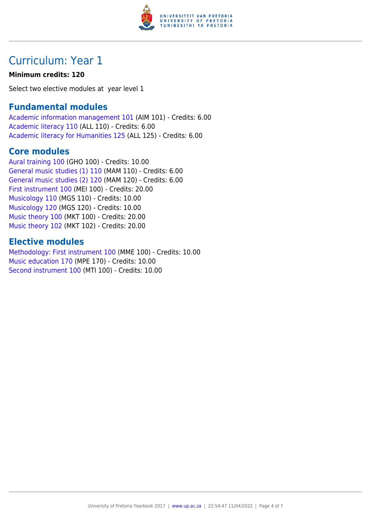

# Curriculum: Year 1

#### **Minimum credits: 120**

Select two elective modules at year level 1

### **Fundamental modules**

[Academic information management 101](https://www.up.ac.za/parents/yearbooks/2017/modules/view/AIM 101) (AIM 101) - Credits: 6.00 [Academic literacy 110](https://www.up.ac.za/parents/yearbooks/2017/modules/view/ALL 110) (ALL 110) - Credits: 6.00 [Academic literacy for Humanities 125](https://www.up.ac.za/parents/yearbooks/2017/modules/view/ALL 125) (ALL 125) - Credits: 6.00

### **Core modules**

[Aural training 100](https://www.up.ac.za/parents/yearbooks/2017/modules/view/GHO 100) (GHO 100) - Credits: 10.00 [General music studies \(1\) 110](https://www.up.ac.za/parents/yearbooks/2017/modules/view/MAM 110) (MAM 110) - Credits: 6.00 [General music studies \(2\) 120](https://www.up.ac.za/parents/yearbooks/2017/modules/view/MAM 120) (MAM 120) - Credits: 6.00 [First instrument 100](https://www.up.ac.za/parents/yearbooks/2017/modules/view/MEI 100) (MEI 100) - Credits: 20.00 [Musicology 110](https://www.up.ac.za/parents/yearbooks/2017/modules/view/MGS 110) (MGS 110) - Credits: 10.00 [Musicology 120](https://www.up.ac.za/parents/yearbooks/2017/modules/view/MGS 120) (MGS 120) - Credits: 10.00 [Music theory 100](https://www.up.ac.za/parents/yearbooks/2017/modules/view/MKT 100) (MKT 100) - Credits: 20.00 [Music theory 102](https://www.up.ac.za/parents/yearbooks/2017/modules/view/MKT 102) (MKT 102) - Credits: 20.00

### **Elective modules**

[Methodology: First instrument 100](https://www.up.ac.za/parents/yearbooks/2017/modules/view/MME 100) (MME 100) - Credits: 10.00 [Music education 170](https://www.up.ac.za/parents/yearbooks/2017/modules/view/MPE 170) (MPE 170) - Credits: 10.00 [Second instrument 100](https://www.up.ac.za/parents/yearbooks/2017/modules/view/MTI 100) (MTI 100) - Credits: 10.00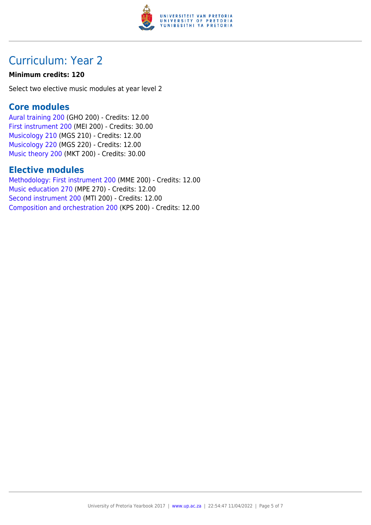

# Curriculum: Year 2

#### **Minimum credits: 120**

Select two elective music modules at year level 2

### **Core modules**

[Aural training 200](https://www.up.ac.za/parents/yearbooks/2017/modules/view/GHO 200) (GHO 200) - Credits: 12.00 [First instrument 200](https://www.up.ac.za/parents/yearbooks/2017/modules/view/MEI 200) (MEI 200) - Credits: 30.00 [Musicology 210](https://www.up.ac.za/parents/yearbooks/2017/modules/view/MGS 210) (MGS 210) - Credits: 12.00 [Musicology 220](https://www.up.ac.za/parents/yearbooks/2017/modules/view/MGS 220) (MGS 220) - Credits: 12.00 [Music theory 200](https://www.up.ac.za/parents/yearbooks/2017/modules/view/MKT 200) (MKT 200) - Credits: 30.00

### **Elective modules**

[Methodology: First instrument 200](https://www.up.ac.za/parents/yearbooks/2017/modules/view/MME 200) (MME 200) - Credits: 12.00 [Music education 270](https://www.up.ac.za/parents/yearbooks/2017/modules/view/MPE 270) (MPE 270) - Credits: 12.00 [Second instrument 200](https://www.up.ac.za/parents/yearbooks/2017/modules/view/MTI 200) (MTI 200) - Credits: 12.00 [Composition and orchestration 200](https://www.up.ac.za/parents/yearbooks/2017/modules/view/KPS 200) (KPS 200) - Credits: 12.00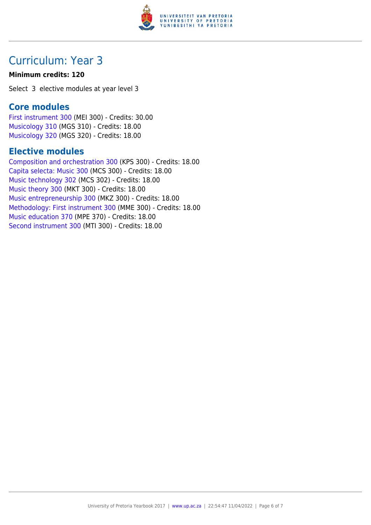

# Curriculum: Year 3

#### **Minimum credits: 120**

Select 3 elective modules at year level 3

### **Core modules**

[First instrument 300](https://www.up.ac.za/parents/yearbooks/2017/modules/view/MEI 300) (MEI 300) - Credits: 30.00 [Musicology 310](https://www.up.ac.za/parents/yearbooks/2017/modules/view/MGS 310) (MGS 310) - Credits: 18.00 [Musicology 320](https://www.up.ac.za/parents/yearbooks/2017/modules/view/MGS 320) (MGS 320) - Credits: 18.00

### **Elective modules**

[Composition and orchestration 300](https://www.up.ac.za/parents/yearbooks/2017/modules/view/KPS 300) (KPS 300) - Credits: 18.00 [Capita selecta: Music 300](https://www.up.ac.za/parents/yearbooks/2017/modules/view/MCS 300) (MCS 300) - Credits: 18.00 [Music technology 302](https://www.up.ac.za/parents/yearbooks/2017/modules/view/MCS 302) (MCS 302) - Credits: 18.00 [Music theory 300](https://www.up.ac.za/parents/yearbooks/2017/modules/view/MKT 300) (MKT 300) - Credits: 18.00 [Music entrepreneurship 300](https://www.up.ac.za/parents/yearbooks/2017/modules/view/MKZ 300) (MKZ 300) - Credits: 18.00 [Methodology: First instrument 300](https://www.up.ac.za/parents/yearbooks/2017/modules/view/MME 300) (MME 300) - Credits: 18.00 [Music education 370](https://www.up.ac.za/parents/yearbooks/2017/modules/view/MPE 370) (MPE 370) - Credits: 18.00 [Second instrument 300](https://www.up.ac.za/parents/yearbooks/2017/modules/view/MTI 300) (MTI 300) - Credits: 18.00